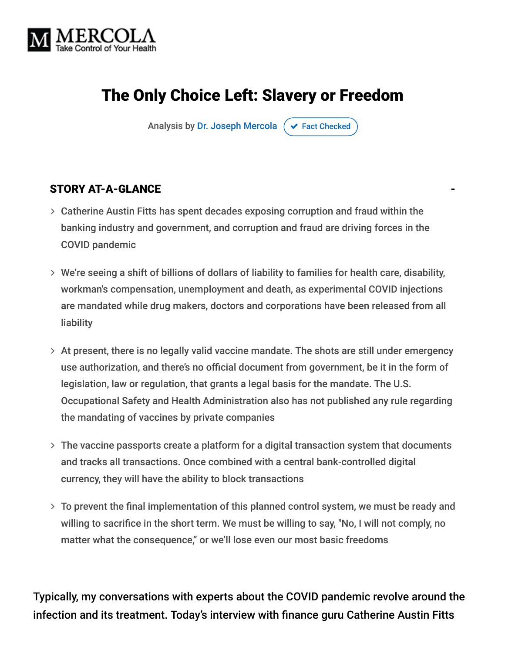

# The Only Choice Left: Slavery or Freedom

Analysis by [Dr. Joseph Mercola](https://www.mercola.com/forms/background.htm)  $\sigma$  [Fact Checked](javascript:void(0))

#### STORY AT-A-GLANCE

- Catherine Austin Fitts has spent decades exposing corruption and fraud within the banking industry and government, and corruption and fraud are driving forces in the COVID pandemic
- We're seeing a shift of billions of dollars of liability to families for health care, disability, workman's compensation, unemployment and death, as experimental COVID injections are mandated while drug makers, doctors and corporations have been released from all liability
- $>$  At present, there is no legally valid vaccine mandate. The shots are still under emergency use authorization, and there's no official document from government, be it in the form of legislation, law or regulation, that grants a legal basis for the mandate. The U.S. Occupational Safety and Health Administration also has not published any rule regarding the mandating of vaccines by private companies
- $>$  The vaccine passports create a platform for a digital transaction system that documents and tracks all transactions. Once combined with a central bank-controlled digital currency, they will have the ability to block transactions
- To prevent the final implementation of this planned control system, we must be ready and willing to sacrifice in the short term. We must be willing to say, "No, I will not comply, no matter what the consequence," or we'll lose even our most basic freedoms

Typically, my conversations with experts about the COVID pandemic revolve around the infection and its treatment. Today's interview with finance guru Catherine Austin Fitts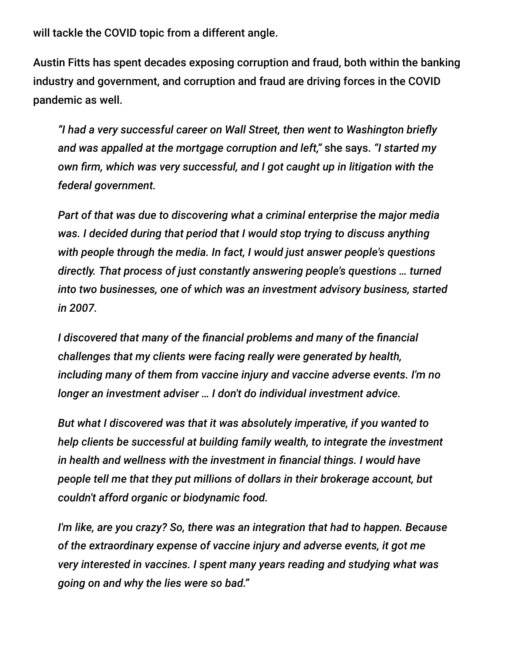will tackle the COVID topic from a different angle.

Austin Fitts has spent decades exposing corruption and fraud, both within the banking industry and government, and corruption and fraud are driving forces in the COVID pandemic as well.

*"I had a very successful career on Wall Street, then went to Washington briefly and was appalled at the mortgage corruption and left,"* she says. *"I started my own firm, which was very successful, and I got caught up in litigation with the federal government.*

*Part of that was due to discovering what a criminal enterprise the major media was. I decided during that period that I would stop trying to discuss anything with people through the media. In fact, I would just answer people's questions directly. That process of just constantly answering people's questions … turned into two businesses, one of which was an investment advisory business, started in 2007.*

*I discovered that many of the financial problems and many of the financial challenges that my clients were facing really were generated by health, including many of them from vaccine injury and vaccine adverse events. I'm no longer an investment adviser … I don't do individual investment advice.*

*But what I discovered was that it was absolutely imperative, if you wanted to help clients be successful at building family wealth, to integrate the investment in health and wellness with the investment in financial things. I would have people tell me that they put millions of dollars in their brokerage account, but couldn't afford organic or biodynamic food.*

*I'm like, are you crazy? So, there was an integration that had to happen. Because of the extraordinary expense of vaccine injury and adverse events, it got me very interested in vaccines. I spent many years reading and studying what was going on and why the lies were so bad."*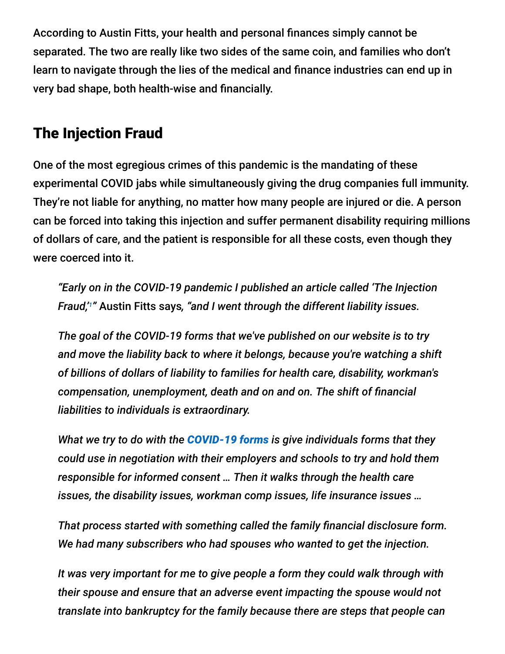According to Austin Fitts, your health and personal finances simply cannot be separated. The two are really like two sides of the same coin, and families who don't learn to navigate through the lies of the medical and finance industries can end up in very bad shape, both health-wise and financially.

# The Injection Fraud

One of the most egregious crimes of this pandemic is the mandating of these experimental COVID jabs while simultaneously giving the drug companies full immunity. They're not liable for anything, no matter how many people are injured or die. A person can be forced into taking this injection and suffer permanent disability requiring millions of dollars of care, and the patient is responsible for all these costs, even though they were coerced into it.

*"Early on in the COVID-19 pandemic I published an article called 'The Injection Fraud,""* Austin Fitts says, "and I went through the different liability issues.

*The goal of the COVID-19 forms that we've published on our website is to try and move the liability back to where it belongs, because you're watching a shift of billions of dollars of liability to families for health care, disability, workman's compensation, unemployment, death and on and on. The shift of financial liabilities to individuals is extraordinary.*

*What we try to do with the [COVID-19 forms](https://home.solari.com/forms/) is give individuals forms that they could use in negotiation with their employers and schools to try and hold them responsible for informed consent … Then it walks through the health care issues, the disability issues, workman comp issues, life insurance issues …*

*That process started with something called the family financial disclosure form. We had many subscribers who had spouses who wanted to get the injection.*

*It was very important for me to give people a form they could walk through with their spouse and ensure that an adverse event impacting the spouse would not translate into bankruptcy for the family because there are steps that people can*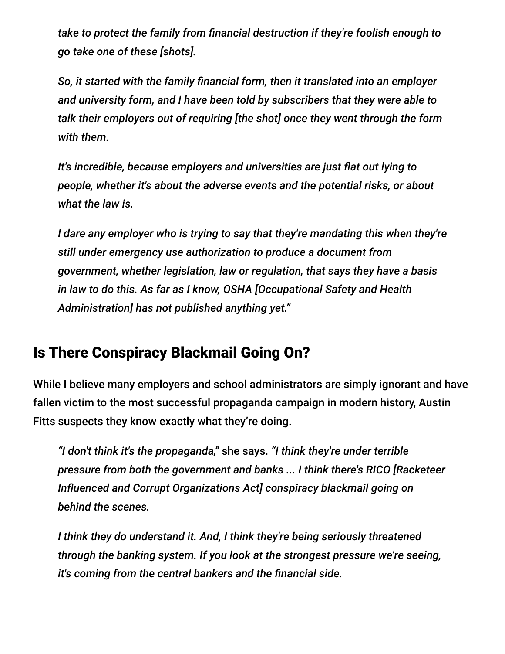*take to protect the family from financial destruction if they're foolish enough to go take one of these [shots].*

*So, it started with the family financial form, then it translated into an employer and university form, and I have been told by subscribers that they were able to talk their employers out of requiring [the shot] once they went through the form with them.*

*It's incredible, because employers and universities are just flat out lying to people, whether it's about the adverse events and the potential risks, or about what the law is.*

*I dare any employer who is trying to say that they're mandating this when they're still under emergency use authorization to produce a document from government, whether legislation, law or regulation, that says they have a basis in law to do this. As far as I know, OSHA [Occupational Safety and Health Administration] has not published anything yet."*

# Is There Conspiracy Blackmail Going On?

While I believe many employers and school administrators are simply ignorant and have fallen victim to the most successful propaganda campaign in modern history, Austin Fitts suspects they know exactly what they're doing.

*"I don't think it's the propaganda,"* she says. *"I think they're under terrible pressure from both the government and banks ... I think there's RICO [Racketeer Influenced and Corrupt Organizations Act] conspiracy blackmail going on behind the scenes.*

*I think they do understand it. And, I think they're being seriously threatened through the banking system. If you look at the strongest pressure we're seeing, it's coming from the central bankers and the financial side.*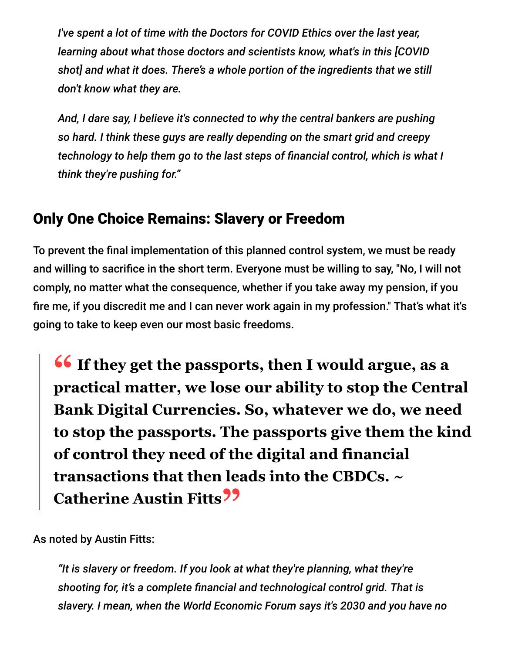*I've spent a lot of time with the Doctors for COVID Ethics over the last year, learning about what those doctors and scientists know, what's in this [COVID shot] and what it does. There's a whole portion of the ingredients that we still don't know what they are.*

*And, I dare say, I believe it's connected to why the central bankers are pushing so hard. I think these guys are really depending on the smart grid and creepy technology to help them go to the last steps of financial control, which is what I think they're pushing for."*

## Only One Choice Remains: Slavery or Freedom

To prevent the final implementation of this planned control system, we must be ready and willing to sacrifice in the short term. Everyone must be willing to say, "No, I will not comply, no matter what the consequence, whether if you take away my pension, if you fire me, if you discredit me and I can never work again in my profession." That's what it's going to take to keep even our most basic freedoms.

**<sup>66</sup>** If they get the passports, then I would argue, as a<br>practical matter, we lose our ability to stop the Centr **practical matter, we lose our ability to stop the Central Bank Digital Currencies. So, whatever we do, we need to stop the passports. The passports give them the kind of control they need of the digital and financial transactions that then leads into the CBDCs. ~ Catherine Austin Fitts"**

As noted by Austin Fitts:

*"It is slavery or freedom. If you look at what they're planning, what they're shooting for, it's a complete financial and technological control grid. That is slavery. I mean, when the World Economic Forum says it's 2030 and you have no*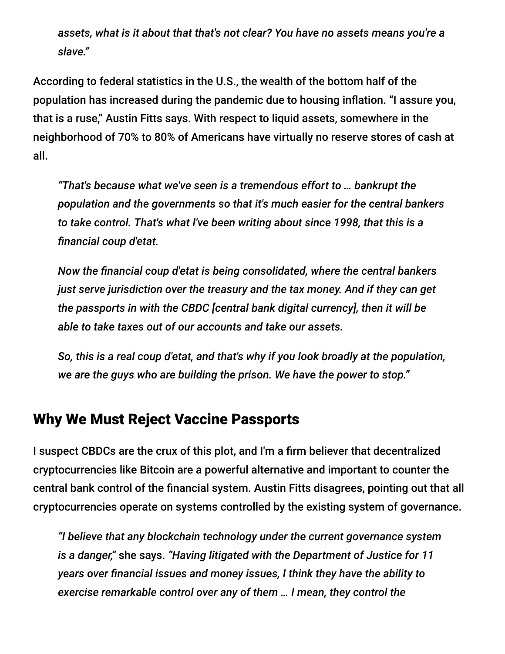*assets, what is it about that that's not clear? You have no assets means you're a slave."*

According to federal statistics in the U.S., the wealth of the bottom half of the population has increased during the pandemic due to housing inflation. "I assure you, that is a ruse," Austin Fitts says. With respect to liquid assets, somewhere in the neighborhood of 70% to 80% of Americans have virtually no reserve stores of cash at all.

*"That's because what we've seen is a tremendous effort to … bankrupt the population and the governments so that it's much easier for the central bankers to take control. That's what I've been writing about since 1998, that this is a financial coup d'etat.*

*Now the financial coup d'etat is being consolidated, where the central bankers just serve jurisdiction over the treasury and the tax money. And if they can get the passports in with the CBDC [central bank digital currency], then it will be able to take taxes out of our accounts and take our assets.*

*So, this is a real coup d'etat, and that's why if you look broadly at the population, we are the guys who are building the prison. We have the power to stop."*

#### Why We Must Reject Vaccine Passports

I suspect CBDCs are the crux of this plot, and I'm a firm believer that decentralized cryptocurrencies like Bitcoin are a powerful alternative and important to counter the central bank control of the financial system. Austin Fitts disagrees, pointing out that all cryptocurrencies operate on systems controlled by the existing system of governance.

*"I believe that any blockchain technology under the current governance system is a danger,"* she says. *"Having litigated with the Department of Justice for 11 years over financial issues and money issues, I think they have the ability to exercise remarkable control over any of them … I mean, they control the*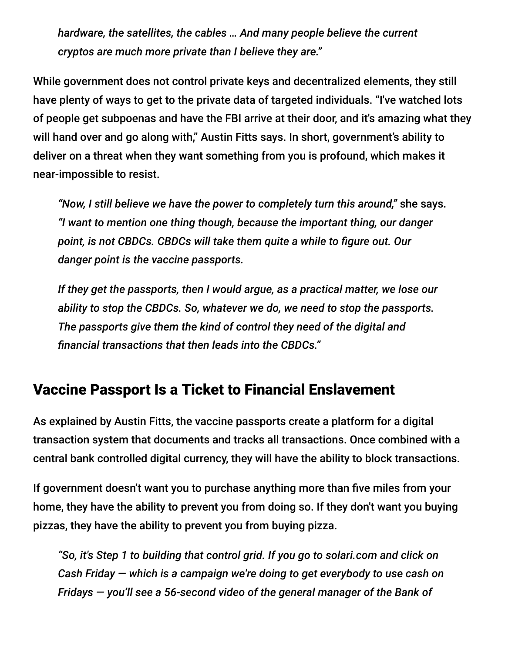*hardware, the satellites, the cables … And many people believe the current cryptos are much more private than I believe they are."*

While government does not control private keys and decentralized elements, they still have plenty of ways to get to the private data of targeted individuals. "I've watched lots of people get subpoenas and have the FBI arrive at their door, and it's amazing what they will hand over and go along with," Austin Fitts says. In short, government's ability to deliver on a threat when they want something from you is profound, which makes it near-impossible to resist.

*"Now, I still believe we have the power to completely turn this around,"* she says. *"I want to mention one thing though, because the important thing, our danger point, is not CBDCs. CBDCs will take them quite a while to figure out. Our danger point is the vaccine passports.*

*If they get the passports, then I would argue, as a practical matter, we lose our ability to stop the CBDCs. So, whatever we do, we need to stop the passports. The passports give them the kind of control they need of the digital and financial transactions that then leads into the CBDCs."*

#### Vaccine Passport Is a Ticket to Financial Enslavement

As explained by Austin Fitts, the vaccine passports create a platform for a digital transaction system that documents and tracks all transactions. Once combined with a central bank controlled digital currency, they will have the ability to block transactions.

If government doesn't want you to purchase anything more than five miles from your home, they have the ability to prevent you from doing so. If they don't want you buying pizzas, they have the ability to prevent you from buying pizza.

*"So, it's Step 1 to building that control grid. If you go to solari.com and click on Cash Friday — which is a campaign we're doing to get everybody to use cash on Fridays — you'll see a 56-second video of the general manager of the Bank of*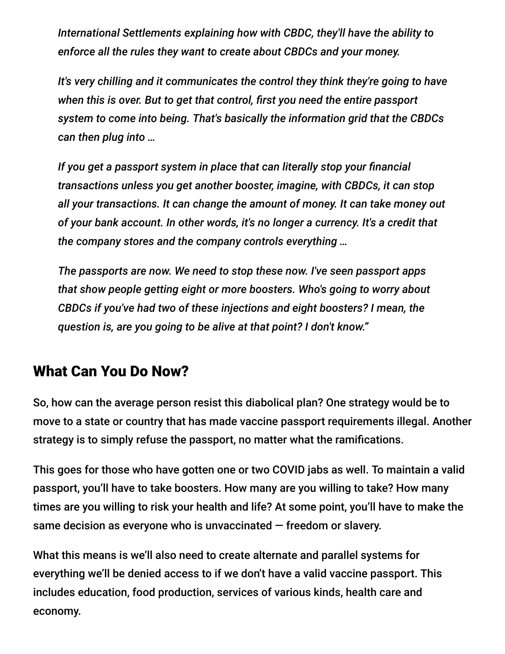*International Settlements explaining how with CBDC, they'll have the ability to enforce all the rules they want to create about CBDCs and your money.*

*It's very chilling and it communicates the control they think they're going to have when this is over. But to get that control, first you need the entire passport system to come into being. That's basically the information grid that the CBDCs can then plug into …*

*If you get a passport system in place that can literally stop your financial transactions unless you get another booster, imagine, with CBDCs, it can stop all your transactions. It can change the amount of money. It can take money out of your bank account. In other words, it's no longer a currency. It's a credit that the company stores and the company controls everything …*

*The passports are now. We need to stop these now. I've seen passport apps that show people getting eight or more boosters. Who's going to worry about CBDCs if you've had two of these injections and eight boosters? I mean, the question is, are you going to be alive at that point? I don't know."*

### What Can You Do Now?

So, how can the average person resist this diabolical plan? One strategy would be to move to a state or country that has made vaccine passport requirements illegal. Another strategy is to simply refuse the passport, no matter what the ramifications.

This goes for those who have gotten one or two COVID jabs as well. To maintain a valid passport, you'll have to take boosters. How many are you willing to take? How many times are you willing to risk your health and life? At some point, you'll have to make the same decision as everyone who is unvaccinated — freedom or slavery.

What this means is we'll also need to create alternate and parallel systems for everything we'll be denied access to if we don't have a valid vaccine passport. This includes education, food production, services of various kinds, health care and economy.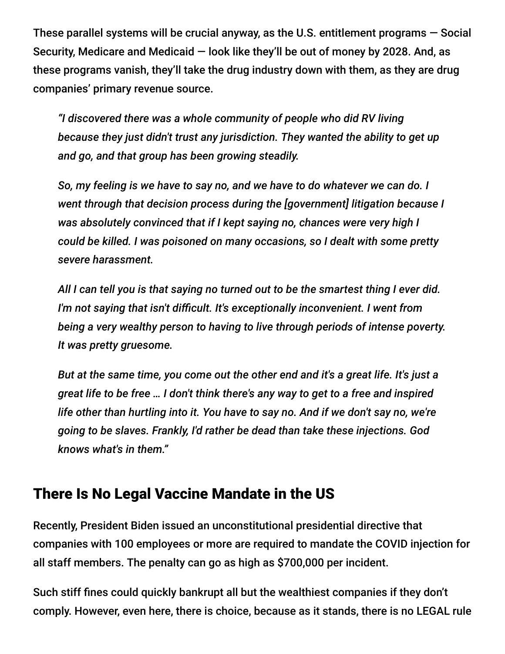These parallel systems will be crucial anyway, as the U.S. entitlement programs — Social Security, Medicare and Medicaid — look like they'll be out of money by 2028. And, as these programs vanish, they'll take the drug industry down with them, as they are drug companies' primary revenue source.

*"I discovered there was a whole community of people who did RV living because they just didn't trust any jurisdiction. They wanted the ability to get up and go, and that group has been growing steadily.*

*So, my feeling is we have to say no, and we have to do whatever we can do. I went through that decision process during the [government] litigation because I was absolutely convinced that if I kept saying no, chances were very high I could be killed. I was poisoned on many occasions, so I dealt with some pretty severe harassment.*

*All I can tell you is that saying no turned out to be the smartest thing I ever did. I'm not saying that isn't difficult. It's exceptionally inconvenient. I went from being a very wealthy person to having to live through periods of intense poverty. It was pretty gruesome.*

*But at the same time, you come out the other end and it's a great life. It's just a great life to be free … I don't think there's any way to get to a free and inspired life other than hurtling into it. You have to say no. And if we don't say no, we're going to be slaves. Frankly, I'd rather be dead than take these injections. God knows what's in them."*

### There Is No Legal Vaccine Mandate in the US

Recently, President Biden issued an unconstitutional presidential directive that companies with 100 employees or more are required to mandate the COVID injection for all staff members. The penalty can go as high as \$700,000 per incident.

Such stiff fines could quickly bankrupt all but the wealthiest companies if they don't comply. However, even here, there is choice, because as it stands, there is no LEGAL rule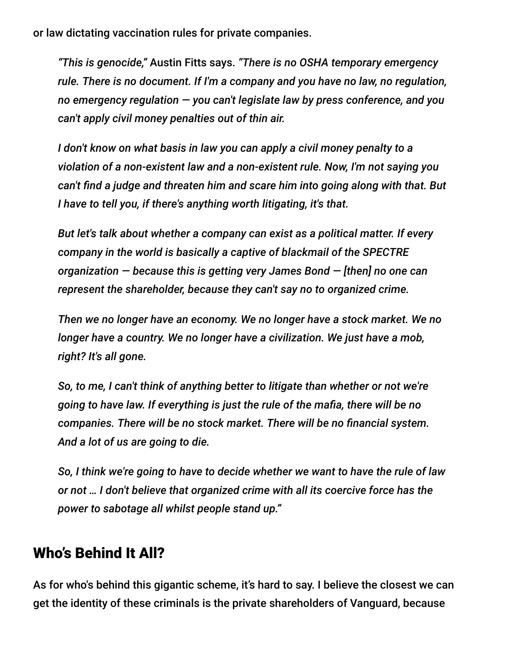or law dictating vaccination rules for private companies.

*"This is genocide,"* Austin Fitts says. *"There is no OSHA temporary emergency rule. There is no document. If I'm a company and you have no law, no regulation, no emergency regulation — you can't legislate law by press conference, and you can't apply civil money penalties out of thin air.*

*I don't know on what basis in law you can apply a civil money penalty to a violation of a non-existent law and a non-existent rule. Now, I'm not saying you can't find a judge and threaten him and scare him into going along with that. But I have to tell you, if there's anything worth litigating, it's that.*

*But let's talk about whether a company can exist as a political matter. If every company in the world is basically a captive of blackmail of the SPECTRE organization — because this is getting very James Bond — [then] no one can represent the shareholder, because they can't say no to organized crime.*

*Then we no longer have an economy. We no longer have a stock market. We no longer have a country. We no longer have a civilization. We just have a mob, right? It's all gone.*

*So, to me, I can't think of anything better to litigate than whether or not we're going to have law. If everything is just the rule of the mafia, there will be no companies. There will be no stock market. There will be no financial system. And a lot of us are going to die.*

*So, I think we're going to have to decide whether we want to have the rule of law or not … I don't believe that organized crime with all its coercive force has the power to sabotage all whilst people stand up."*

### Who's Behind It All?

As for who's behind this gigantic scheme, it's hard to say. I believe the closest we can get the identity of these criminals is the private shareholders of Vanguard, because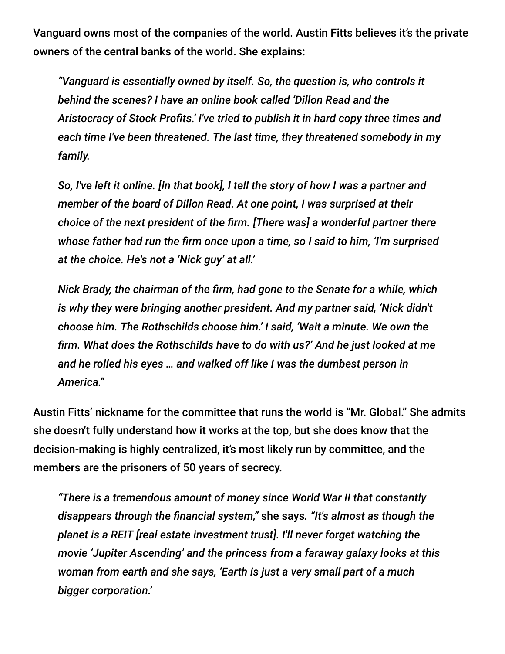Vanguard owns most of the companies of the world. Austin Fitts believes it's the private owners of the central banks of the world. She explains:

*"Vanguard is essentially owned by itself. So, the question is, who controls it behind the scenes? I have an online book called 'Dillon Read and the Aristocracy of Stock Profits.' I've tried to publish it in hard copy three times and each time I've been threatened. The last time, they threatened somebody in my family.*

*So, I've left it online. [In that book], I tell the story of how I was a partner and member of the board of Dillon Read. At one point, I was surprised at their choice of the next president of the firm. [There was] a wonderful partner there whose father had run the firm once upon a time, so I said to him, 'I'm surprised at the choice. He's not a 'Nick guy' at all.'*

*Nick Brady, the chairman of the firm, had gone to the Senate for a while, which is why they were bringing another president. And my partner said, 'Nick didn't choose him. The Rothschilds choose him.' I said, 'Wait a minute. We own the firm. What does the Rothschilds have to do with us?' And he just looked at me and he rolled his eyes … and walked off like I was the dumbest person in America."*

Austin Fitts' nickname for the committee that runs the world is "Mr. Global." She admits she doesn't fully understand how it works at the top, but she does know that the decision-making is highly centralized, it's most likely run by committee, and the members are the prisoners of 50 years of secrecy.

*"There is a tremendous amount of money since World War II that constantly disappears through the financial system,"* she says*. "It's almost as though the planet is a REIT [real estate investment trust]. I'll never forget watching the movie 'Jupiter Ascending' and the princess from a faraway galaxy looks at this woman from earth and she says, 'Earth is just a very small part of a much bigger corporation.'*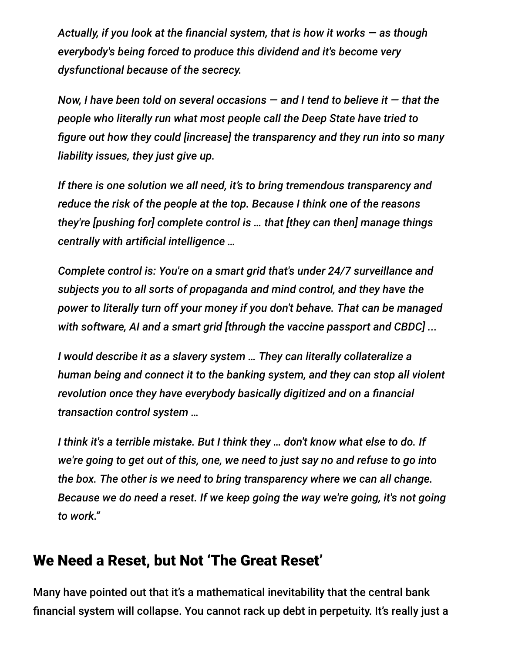*Actually, if you look at the financial system, that is how it works — as though everybody's being forced to produce this dividend and it's become very dysfunctional because of the secrecy.*

*Now, I have been told on several occasions — and I tend to believe it — that the people who literally run what most people call the Deep State have tried to figure out how they could [increase] the transparency and they run into so many liability issues, they just give up.*

*If there is one solution we all need, it's to bring tremendous transparency and reduce the risk of the people at the top. Because I think one of the reasons they're [pushing for] complete control is … that [they can then] manage things centrally with artificial intelligence …*

*Complete control is: You're on a smart grid that's under 24/7 surveillance and subjects you to all sorts of propaganda and mind control, and they have the power to literally turn off your money if you don't behave. That can be managed with software, AI and a smart grid [through the vaccine passport and CBDC] ...*

*I would describe it as a slavery system … They can literally collateralize a human being and connect it to the banking system, and they can stop all violent revolution once they have everybody basically digitized and on a financial transaction control system …*

*I think it's a terrible mistake. But I think they … don't know what else to do. If we're going to get out of this, one, we need to just say no and refuse to go into the box. The other is we need to bring transparency where we can all change. Because we do need a reset. If we keep going the way we're going, it's not going to work."*

### We Need a Reset, but Not 'The Great Reset'

Many have pointed out that it's a mathematical inevitability that the central bank financial system will collapse. You cannot rack up debt in perpetuity. It's really just a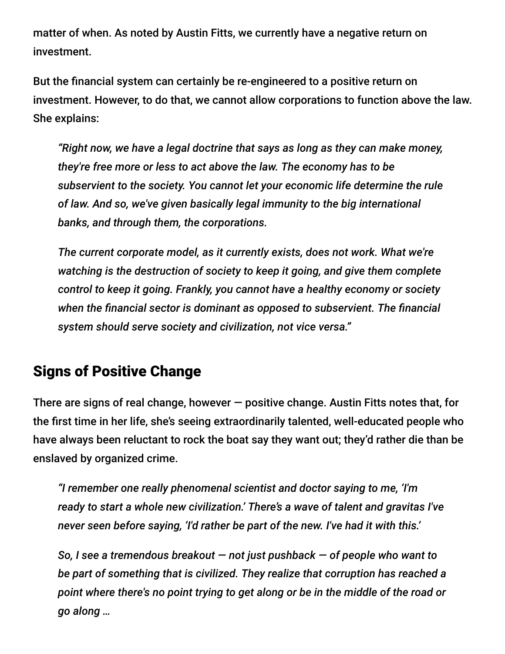matter of when. As noted by Austin Fitts, we currently have a negative return on investment.

But the financial system can certainly be re-engineered to a positive return on investment. However, to do that, we cannot allow corporations to function above the law. She explains:

*"Right now, we have a legal doctrine that says as long as they can make money, they're free more or less to act above the law. The economy has to be subservient to the society. You cannot let your economic life determine the rule of law. And so, we've given basically legal immunity to the big international banks, and through them, the corporations.*

*The current corporate model, as it currently exists, does not work. What we're watching is the destruction of society to keep it going, and give them complete control to keep it going. Frankly, you cannot have a healthy economy or society when the financial sector is dominant as opposed to subservient. The financial system should serve society and civilization, not vice versa."*

# Signs of Positive Change

There are signs of real change, however  $-$  positive change. Austin Fitts notes that, for the first time in her life, she's seeing extraordinarily talented, well-educated people who have always been reluctant to rock the boat say they want out; they'd rather die than be enslaved by organized crime.

*"I remember one really phenomenal scientist and doctor saying to me, 'I'm ready to start a whole new civilization.' There's a wave of talent and gravitas I've never seen before saying, 'I'd rather be part of the new. I've had it with this.'*

*So, I see a tremendous breakout — not just pushback — of people who want to be part of something that is civilized. They realize that corruption has reached a point where there's no point trying to get along or be in the middle of the road or go along …*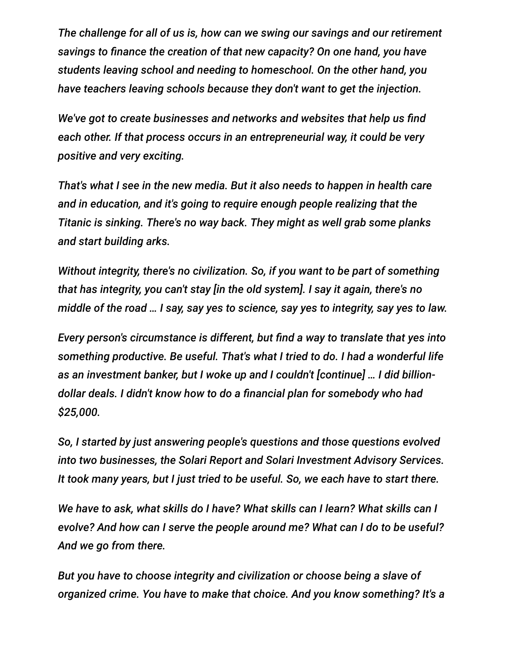*The challenge for all of us is, how can we swing our savings and our retirement savings to finance the creation of that new capacity? On one hand, you have students leaving school and needing to homeschool. On the other hand, you have teachers leaving schools because they don't want to get the injection.*

*We've got to create businesses and networks and websites that help us find each other. If that process occurs in an entrepreneurial way, it could be very positive and very exciting.*

*That's what I see in the new media. But it also needs to happen in health care and in education, and it's going to require enough people realizing that the Titanic is sinking. There's no way back. They might as well grab some planks and start building arks.*

*Without integrity, there's no civilization. So, if you want to be part of something that has integrity, you can't stay [in the old system]. I say it again, there's no middle of the road … I say, say yes to science, say yes to integrity, say yes to law.*

*Every person's circumstance is different, but find a way to translate that yes into something productive. Be useful. That's what I tried to do. I had a wonderful life as an investment banker, but I woke up and I couldn't [continue] … I did billiondollar deals. I didn't know how to do a financial plan for somebody who had \$25,000.*

*So, I started by just answering people's questions and those questions evolved into two businesses, the Solari Report and Solari Investment Advisory Services. It took many years, but I just tried to be useful. So, we each have to start there.*

*We have to ask, what skills do I have? What skills can I learn? What skills can I evolve? And how can I serve the people around me? What can I do to be useful? And we go from there.*

*But you have to choose integrity and civilization or choose being a slave of organized crime. You have to make that choice. And you know something? It's a*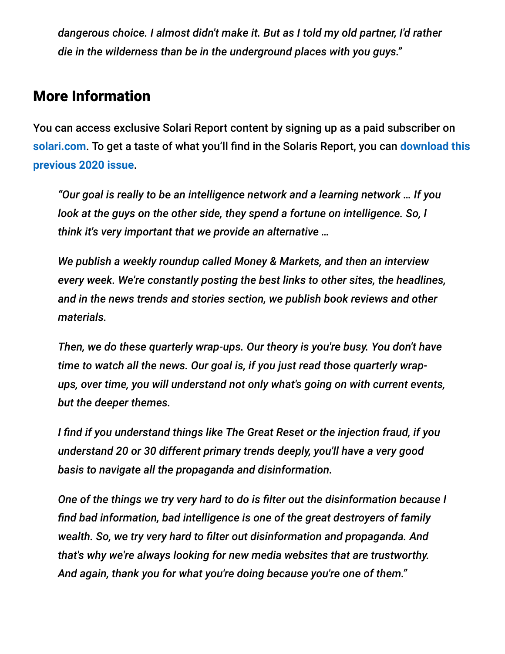*dangerous choice. I almost didn't make it. But as I told my old partner, I'd rather die in the wilderness than be in the underground places with you guys."*

#### More Information

You can access exclusive Solari Report content by signing up as a paid subscriber on **[solari.com](https://home.solari.com/)**[. To get a taste of what you'll find in the Solaris Report, you can](https://home.solari.com/2nd-quarter-2020-wrap-up-the-injection-fraud-a-sane-persons-guidebook-to-the-global-pandemic-pdf-now-available/) **download this previous 2020 issue**.

*"Our goal is really to be an intelligence network and a learning network … If you look at the guys on the other side, they spend a fortune on intelligence. So, I think it's very important that we provide an alternative …*

*We publish a weekly roundup called Money & Markets, and then an interview every week. We're constantly posting the best links to other sites, the headlines, and in the news trends and stories section, we publish book reviews and other materials.*

*Then, we do these quarterly wrap-ups. Our theory is you're busy. You don't have time to watch all the news. Our goal is, if you just read those quarterly wrapups, over time, you will understand not only what's going on with current events, but the deeper themes.*

*I find if you understand things like The Great Reset or the injection fraud, if you understand 20 or 30 different primary trends deeply, you'll have a very good basis to navigate all the propaganda and disinformation.*

*One of the things we try very hard to do is filter out the disinformation because I find bad information, bad intelligence is one of the great destroyers of family wealth. So, we try very hard to filter out disinformation and propaganda. And that's why we're always looking for new media websites that are trustworthy. And again, thank you for what you're doing because you're one of them."*